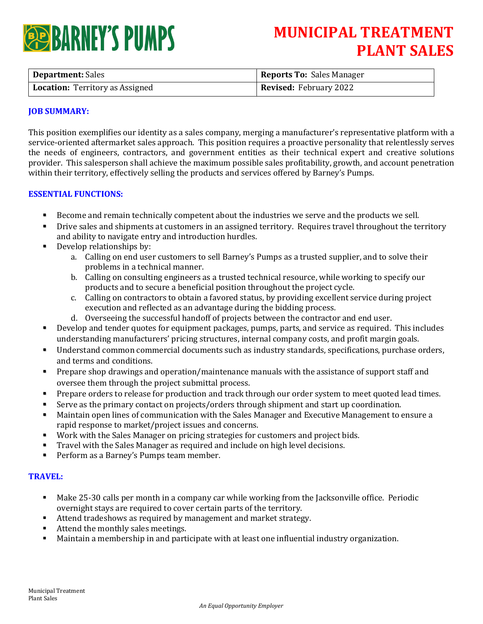# **ERARNEY'S PUMPS**

## **MUNICIPAL TREATMENT PLANT SALES**

| <b>Department:</b> Sales               | <b>Reports To: Sales Manager</b> |
|----------------------------------------|----------------------------------|
| <b>Location:</b> Territory as Assigned | <b>Revised: February 2022</b>    |

### **JOB SUMMARY:**

This position exemplifies our identity as a sales company, merging a manufacturer's representative platform with a service-oriented aftermarket sales approach. This position requires a proactive personality that relentlessly serves the needs of engineers, contractors, and government entities as their technical expert and creative solutions provider. This salesperson shall achieve the maximum possible sales profitability, growth, and account penetration within their territory, effectively selling the products and services offered by Barney's Pumps.

### **ESSENTIAL FUNCTIONS:**

- Become and remain technically competent about the industries we serve and the products we sell.
- Drive sales and shipments at customers in an assigned territory. Requires travel throughout the territory and ability to navigate entry and introduction hurdles.
- Develop relationships by:
	- a. Calling on end user customers to sell Barney's Pumps as a trusted supplier, and to solve their problems in a technical manner.
	- b. Calling on consulting engineers as a trusted technical resource, while working to specify our products and to secure a beneficial position throughout the project cycle.
	- c. Calling on contractors to obtain a favored status, by providing excellent service during project execution and reflected as an advantage during the bidding process.
	- d. Overseeing the successful handoff of projects between the contractor and end user.
- Develop and tender quotes for equipment packages, pumps, parts, and service as required. This includes understanding manufacturers' pricing structures, internal company costs, and profit margin goals.
- Understand common commercial documents such as industry standards, specifications, purchase orders, and terms and conditions.
- **•** Prepare shop drawings and operation/maintenance manuals with the assistance of support staff and oversee them through the project submittal process.
- Prepare orders to release for production and track through our order system to meet quoted lead times.
- Serve as the primary contact on projects/orders through shipment and start up coordination.
- Maintain open lines of communication with the Sales Manager and Executive Management to ensure a rapid response to market/project issues and concerns.
- Work with the Sales Manager on pricing strategies for customers and project bids.
- Travel with the Sales Manager as required and include on high level decisions.
- Perform as a Barney's Pumps team member.

### **TRAVEL:**

- Make 25-30 calls per month in a company car while working from the Jacksonville office. Periodic overnight stays are required to cover certain parts of the territory.
- Attend tradeshows as required by management and market strategy.
- Attend the monthly sales meetings.
- Maintain a membership in and participate with at least one influential industry organization.